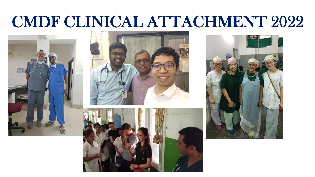#### CMDF CLINICAL ATTACHMENT 2022







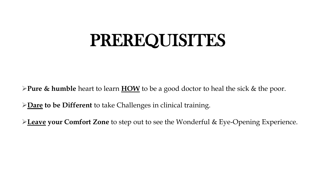## PREREQUISITES

**Pure & humble** heart to learn **HOW** to be a good doctor to heal the sick & the poor.

**Dare to be Different** to take Challenges in clinical training.

**Leave your Comfort Zone** to step out to see the Wonderful & Eye-Opening Experience.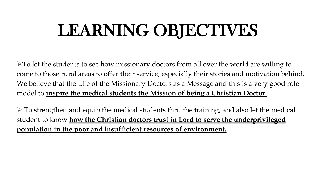# LEARNING OBJECTIVES

 $\triangleright$  To let the students to see how missionary doctors from all over the world are willing to come to those rural areas to offer their service, especially their stories and motivation behind. We believe that the Life of the Missionary Doctors as a Message and this is a very good role model to **inspire the medical students the Mission of being a Christian Doctor**.

 $\triangleright$  To strengthen and equip the medical students thru the training, and also let the medical student to know **how the Christian doctors trust in Lord to serve the underprivileged population in the poor and insufficient resources of environment.**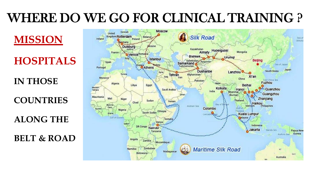#### WHERE DO WE GO FOR CLINICAL TRAINING ?

#### **HOSPITALS**

**MISSION**

**IN THOSE**

**COUNTRIES**

**ALONG THE** 

**BELT & ROAD**

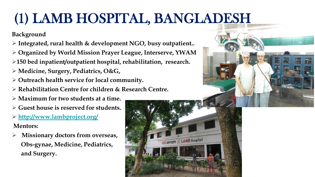#### (1) LAMB HOSPITAL, BANGLADESH

#### **Background**

- **Integrated, rural health & development NGO, busy outpatient..**
- **Organized by World Mission Prayer League, Interserve, YWAM**
- **150 bed inpatient/outpatient hospital, rehabilitation, research.**
- **Medicine, Surgery, Pediatrics, O&G,**
- **Outreach health service for local community.**
- **Rehabilitation Centre for children & Research Centre.**
- **Maximum for two students at a time.**
- **Guest house is reserved for students.**
- **<http://www.lambproject.org/> Mentors:**
- **Missionary doctors from overseas, Obs-gynae, Medicine, Pediatrics, and Surgery.**



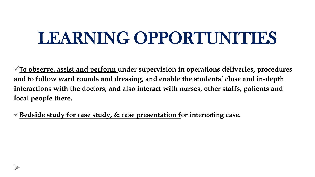## LEARNING OPPORTUNITIES

**To observe, assist and perform under supervision in operations deliveries, procedures and to follow ward rounds and dressing, and enable the students' close and in-depth interactions with the doctors, and also interact with nurses, other staffs, patients and local people there.**

**Bedside study for case study, & case presentation for interesting case.**

 $\blacktriangleright$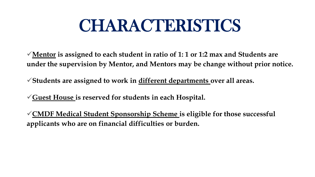## **CHARACTERISTICS**

**Mentor is assigned to each student in ratio of 1: 1 or 1:2 max and Students are under the supervision by Mentor, and Mentors may be change without prior notice.**

**Students are assigned to work in different departments over all areas.**

**Guest House is reserved for students in each Hospital.**

**CMDF Medical Student Sponsorship Scheme is eligible for those successful applicants who are on financial difficulties or burden.**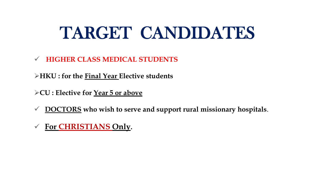## TARGET CANDIDATES

**HIGHER CLASS MEDICAL STUDENTS**

**HKU : for the Final Year Elective students**

- **CU : Elective for Year 5 or above**
- **DOCTORS who wish to serve and support rural missionary hospitals**.
- **For CHRISTIANS Only.**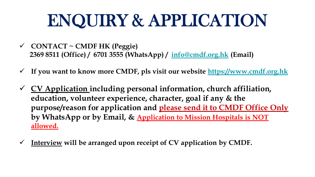# ENQUIRY & APPLICATION

- **CONTACT ~ CMDF HK (Peggie) 2369 8511 (Office) / 6701 3555 (WhatsApp) / [info@cmdf.org.hk](mailto:info@cmdf.org.hk) (Email)**
- **If you want to know more CMDF, pls visit our website [https://www.cmdf.org.hk](https://www.cmdf.org.hk/)**
- **CV Application including personal information, church affiliation, education, volunteer experience, character, goal if any & the purpose/reason for application and please send it to CMDF Office Only by WhatsApp or by Email, & Application to Mission Hospitals is NOT allowed.**
- **Interview will be arranged upon receipt of CV application by CMDF.**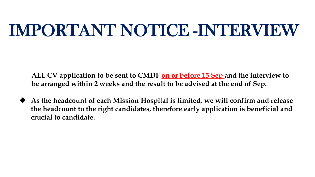## IMPORTANT NOTICE -INTERVIEW

**ALL CV application to be sent to CMDF on or before 15 Sep and the interview to be arranged within 2 weeks and the result to be advised at the end of Sep.**

 **As the headcount of each Mission Hospital is limited, we will confirm and release the headcount to the right candidates, therefore early application is beneficial and crucial to candidate.**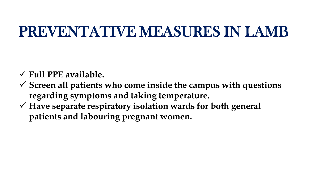#### PREVENTATIVE MEASURES IN LAMB

- **Full PPE available.**
- **Screen all patients who come inside the campus with questions regarding symptoms and taking temperature.**
- **Have separate respiratory isolation wards for both general patients and labouring pregnant women.**